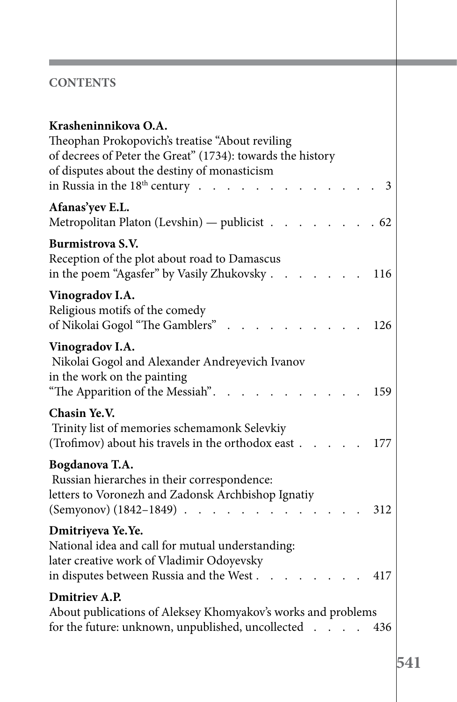## **CONTENTS**

п

| Krasheninnikova O.A.<br>Theophan Prokopovich's treatise "About reviling<br>of decrees of Peter the Great" (1734): towards the history<br>of disputes about the destiny of monasticism |      |
|---------------------------------------------------------------------------------------------------------------------------------------------------------------------------------------|------|
| in Russia in the 18 <sup>th</sup> century                                                                                                                                             | 3    |
| Afanas'yev E.L.<br>Metropolitan Platon (Levshin) — publicist.                                                                                                                         | - 62 |
| Burmistrova S.V.<br>Reception of the plot about road to Damascus<br>in the poem "Agasfer" by Vasily Zhukovsky.                                                                        | 116  |
| Vinogradov I.A.<br>Religious motifs of the comedy<br>of Nikolai Gogol "The Gamblers"                                                                                                  | 126  |
| Vinogradov I.A.<br>Nikolai Gogol and Alexander Andreyevich Ivanov<br>in the work on the painting<br>"The Apparition of the Messiah".                                                  | 159  |
| Chasin Ye.V.<br>Trinity list of memories schemamonk Selevkiy<br>(Trofimov) about his travels in the orthodox east.                                                                    | 177  |
| Bogdanova T.A.<br>Russian hierarches in their correspondence:<br>letters to Voronezh and Zadonsk Archbishop Ignatiy<br>(Semyonov) (1842-1849)                                         | 312  |
| Dmitriyeva Ye.Ye.<br>National idea and call for mutual understanding:<br>later creative work of Vladimir Odoyevsky<br>in disputes between Russia and the West.                        | 417  |
| Dmitriev A.P.<br>About publications of Aleksey Khomyakov's works and problems<br>for the future: unknown, unpublished, uncollected                                                    | 436  |